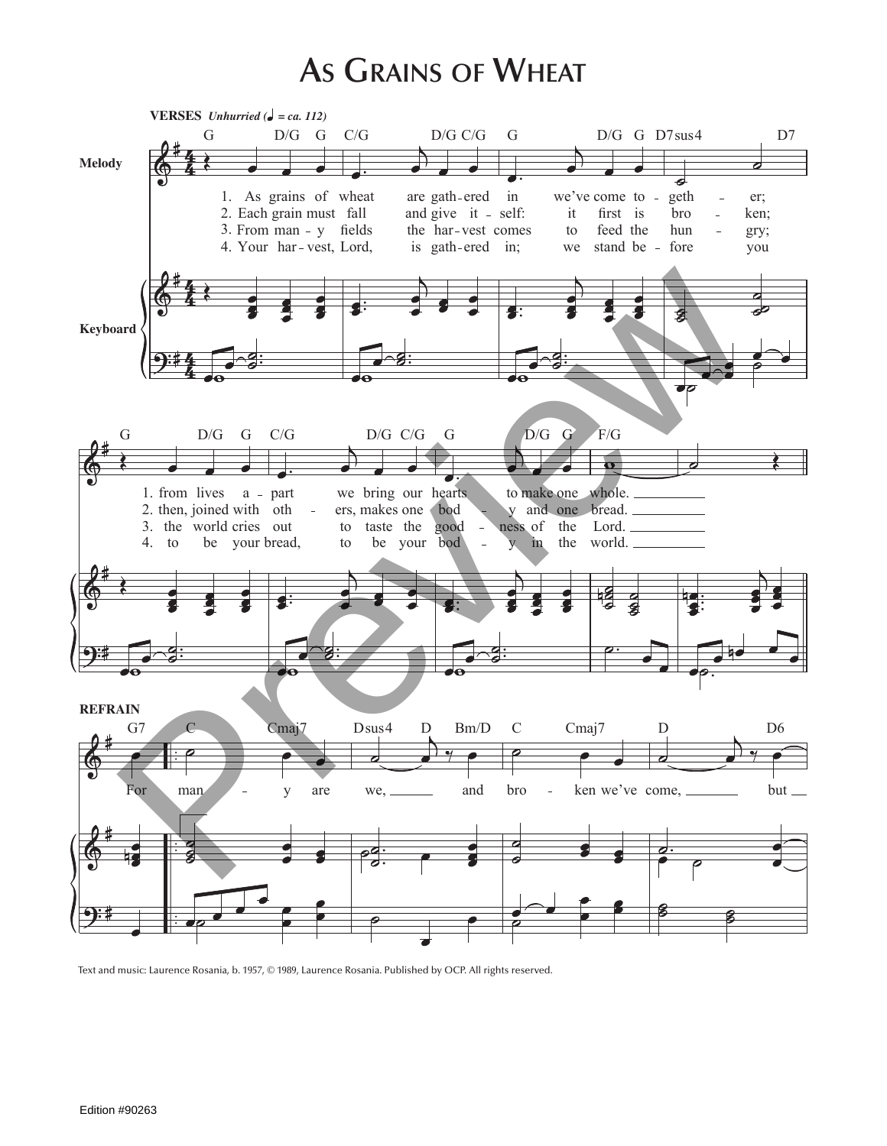## **As Grains of Wheat**



Text and music: Laurence Rosania, b. 1957, © 1989, Laurence Rosania. Published by OCP. All rights reserved.